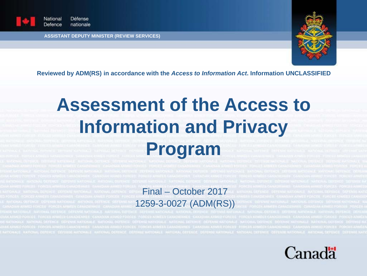

National Défense Defence nationale

**ASSISTANT DEPUTY MINISTER (REVIEW SERVICES)**



**Reviewed by ADM(RS) in accordance with the** *Access to Information Act***. Information UNCLASSIFIED**

# **Assessment of the Access to Information and Privacy**

**Program**

Final – October 2017 1259-3-0027 (ADM(RS))

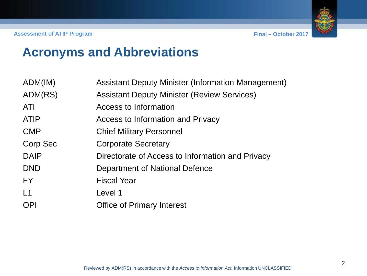### **Acronyms and Abbreviations**

| ADM(IM)     | <b>Assistant Deputy Minister (Information Management)</b> |
|-------------|-----------------------------------------------------------|
| ADM(RS)     | <b>Assistant Deputy Minister (Review Services)</b>        |
| <b>ATI</b>  | <b>Access to Information</b>                              |
| <b>ATIP</b> | Access to Information and Privacy                         |
| <b>CMP</b>  | <b>Chief Military Personnel</b>                           |
| Corp Sec    | <b>Corporate Secretary</b>                                |
| <b>DAIP</b> | Directorate of Access to Information and Privacy          |
| <b>DND</b>  | Department of National Defence                            |
| <b>FY</b>   | <b>Fiscal Year</b>                                        |
| L1          | Level 1                                                   |
| <b>OPI</b>  | <b>Office of Primary Interest</b>                         |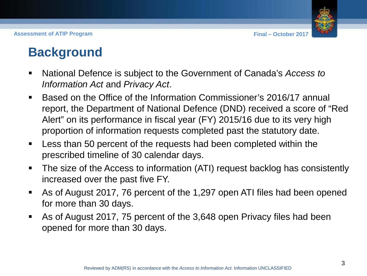**Assessment of ATIP Program Final – October 2017**



### **Background**

- National Defence is subject to the Government of Canada's *Access to Information Act* and *Privacy Act*.
- Based on the Office of the Information Commissioner's 2016/17 annual report, the Department of National Defence (DND) received a score of "Red Alert" on its performance in fiscal year (FY) 2015/16 due to its very high proportion of information requests completed past the statutory date.
- Less than 50 percent of the requests had been completed within the prescribed timeline of 30 calendar days.
- The size of the Access to information (ATI) request backlog has consistently increased over the past five FY.
- As of August 2017, 76 percent of the 1,297 open ATI files had been opened for more than 30 days.
- As of August 2017, 75 percent of the 3,648 open Privacy files had been opened for more than 30 days.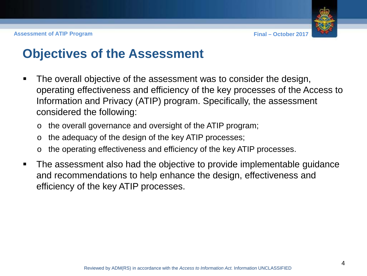

### **Objectives of the Assessment**

- The overall objective of the assessment was to consider the design, operating effectiveness and efficiency of the key processes of the Access to Information and Privacy (ATIP) program. Specifically, the assessment considered the following:
	- o the overall governance and oversight of the ATIP program;
	- o the adequacy of the design of the key ATIP processes;
	- o the operating effectiveness and efficiency of the key ATIP processes.
- The assessment also had the objective to provide implementable guidance and recommendations to help enhance the design, effectiveness and efficiency of the key ATIP processes.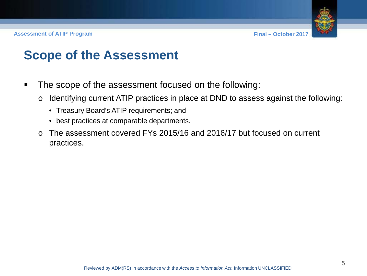

### **Scope of the Assessment**

- The scope of the assessment focused on the following:
	- o Identifying current ATIP practices in place at DND to assess against the following:
		- Treasury Board's ATIP requirements; and
		- best practices at comparable departments.
	- o The assessment covered FYs 2015/16 and 2016/17 but focused on current practices.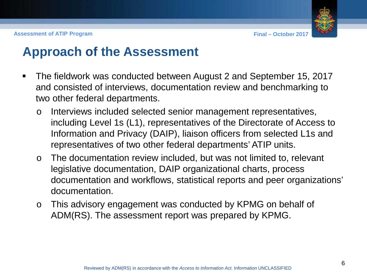

### **Approach of the Assessment**

- The fieldwork was conducted between August 2 and September 15, 2017 and consisted of interviews, documentation review and benchmarking to two other federal departments.
	- o Interviews included selected senior management representatives, including Level 1s (L1), representatives of the Directorate of Access to Information and Privacy (DAIP), liaison officers from selected L1s and representatives of two other federal departments' ATIP units.
	- o The documentation review included, but was not limited to, relevant legislative documentation, DAIP organizational charts, process documentation and workflows, statistical reports and peer organizations' documentation.
	- o This advisory engagement was conducted by KPMG on behalf of ADM(RS). The assessment report was prepared by KPMG.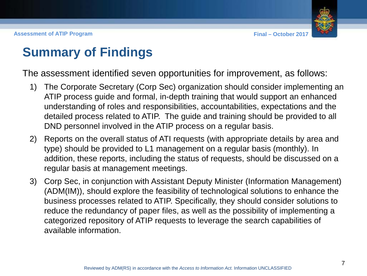

### **Summary of Findings**

The assessment identified seven opportunities for improvement, as follows:

- 1) The Corporate Secretary (Corp Sec) organization should consider implementing an ATIP process guide and formal, in-depth training that would support an enhanced understanding of roles and responsibilities, accountabilities, expectations and the detailed process related to ATIP. The guide and training should be provided to all DND personnel involved in the ATIP process on a regular basis.
- 2) Reports on the overall status of ATI requests (with appropriate details by area and type) should be provided to L1 management on a regular basis (monthly). In addition, these reports, including the status of requests, should be discussed on a regular basis at management meetings.
- 3) Corp Sec, in conjunction with Assistant Deputy Minister (Information Management) (ADM(IM)), should explore the feasibility of technological solutions to enhance the business processes related to ATIP. Specifically, they should consider solutions to reduce the redundancy of paper files, as well as the possibility of implementing a categorized repository of ATIP requests to leverage the search capabilities of available information.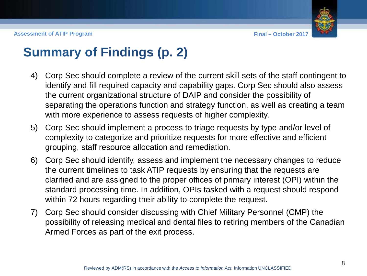**Assessment of ATIP Program Final – October 2017**



### **Summary of Findings (p. 2)**

- 4) Corp Sec should complete a review of the current skill sets of the staff contingent to identify and fill required capacity and capability gaps. Corp Sec should also assess the current organizational structure of DAIP and consider the possibility of separating the operations function and strategy function, as well as creating a team with more experience to assess requests of higher complexity.
- 5) Corp Sec should implement a process to triage requests by type and/or level of complexity to categorize and prioritize requests for more effective and efficient grouping, staff resource allocation and remediation.
- 6) Corp Sec should identify, assess and implement the necessary changes to reduce the current timelines to task ATIP requests by ensuring that the requests are clarified and are assigned to the proper offices of primary interest (OPI) within the standard processing time. In addition, OPIs tasked with a request should respond within 72 hours regarding their ability to complete the request.
- 7) Corp Sec should consider discussing with Chief Military Personnel (CMP) the possibility of releasing medical and dental files to retiring members of the Canadian Armed Forces as part of the exit process.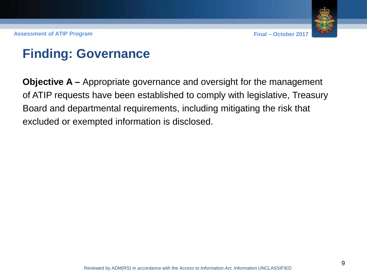

### **Finding: Governance**

**Objective A –** Appropriate governance and oversight for the management of ATIP requests have been established to comply with legislative, Treasury Board and departmental requirements, including mitigating the risk that excluded or exempted information is disclosed.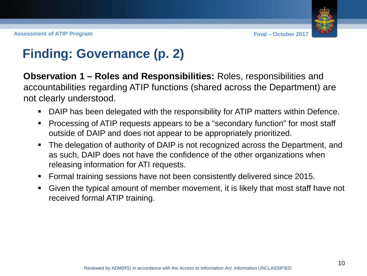

### **Finding: Governance (p. 2)**

**Observation 1 – Roles and Responsibilities:** Roles, responsibilities and accountabilities regarding ATIP functions (shared across the Department) are not clearly understood.

- DAIP has been delegated with the responsibility for ATIP matters within Defence.
- Processing of ATIP requests appears to be a "secondary function" for most staff outside of DAIP and does not appear to be appropriately prioritized.
- The delegation of authority of DAIP is not recognized across the Department, and as such, DAIP does not have the confidence of the other organizations when releasing information for ATI requests.
- Formal training sessions have not been consistently delivered since 2015.
- Given the typical amount of member movement, it is likely that most staff have not received formal ATIP training.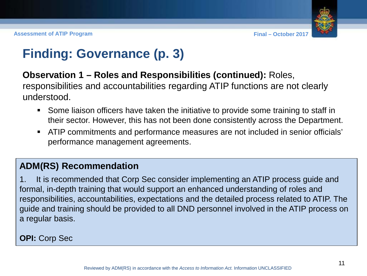

# **Finding: Governance (p. 3)**

### **Observation 1 – Roles and Responsibilities (continued):** Roles,

responsibilities and accountabilities regarding ATIP functions are not clearly understood.

- Some liaison officers have taken the initiative to provide some training to staff in their sector. However, this has not been done consistently across the Department.
- ATIP commitments and performance measures are not included in senior officials' performance management agreements.

### **ADM(RS) Recommendation**

1. It is recommended that Corp Sec consider implementing an ATIP process guide and formal, in-depth training that would support an enhanced understanding of roles and responsibilities, accountabilities, expectations and the detailed process related to ATIP. The guide and training should be provided to all DND personnel involved in the ATIP process on a regular basis.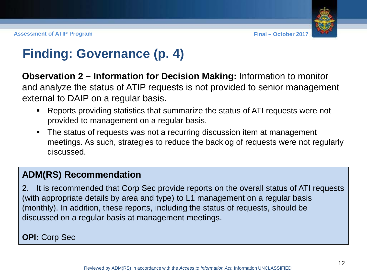

### **Finding: Governance (p. 4)**

**Observation 2 – Information for Decision Making:** Information to monitor and analyze the status of ATIP requests is not provided to senior management external to DAIP on a regular basis.

- Reports providing statistics that summarize the status of ATI requests were not provided to management on a regular basis.
- The status of requests was not a recurring discussion item at management meetings. As such, strategies to reduce the backlog of requests were not regularly discussed.

### **ADM(RS) Recommendation**

2. It is recommended that Corp Sec provide reports on the overall status of ATI requests (with appropriate details by area and type) to L1 management on a regular basis (monthly). In addition, these reports, including the status of requests, should be discussed on a regular basis at management meetings.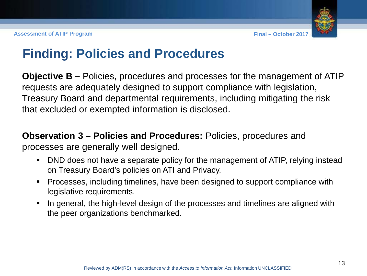### **Finding: Policies and Procedures**

**Objective B –** Policies, procedures and processes for the management of ATIP requests are adequately designed to support compliance with legislation, Treasury Board and departmental requirements, including mitigating the risk that excluded or exempted information is disclosed.

**Observation 3 – Policies and Procedures:** Policies, procedures and processes are generally well designed.

- DND does not have a separate policy for the management of ATIP, relying instead on Treasury Board's policies on ATI and Privacy.
- Processes, including timelines, have been designed to support compliance with legislative requirements.
- In general, the high-level design of the processes and timelines are aligned with the peer organizations benchmarked.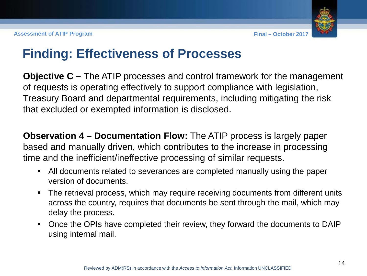### **Finding: Effectiveness of Processes**

**Objective C –** The ATIP processes and control framework for the management of requests is operating effectively to support compliance with legislation, Treasury Board and departmental requirements, including mitigating the risk that excluded or exempted information is disclosed.

**Observation 4 – Documentation Flow:** The ATIP process is largely paper based and manually driven, which contributes to the increase in processing time and the inefficient/ineffective processing of similar requests.

- All documents related to severances are completed manually using the paper version of documents.
- The retrieval process, which may require receiving documents from different units across the country, requires that documents be sent through the mail, which may delay the process.
- Once the OPIs have completed their review, they forward the documents to DAIP using internal mail.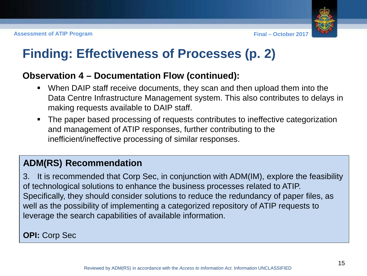

## **Finding: Effectiveness of Processes (p. 2)**

#### **Observation 4 – Documentation Flow (continued):**

- When DAIP staff receive documents, they scan and then upload them into the Data Centre Infrastructure Management system. This also contributes to delays in making requests available to DAIP staff.
- The paper based processing of requests contributes to ineffective categorization and management of ATIP responses, further contributing to the inefficient/ineffective processing of similar responses.

### **ADM(RS) Recommendation**

3. It is recommended that Corp Sec, in conjunction with ADM(IM), explore the feasibility of technological solutions to enhance the business processes related to ATIP. Specifically, they should consider solutions to reduce the redundancy of paper files, as well as the possibility of implementing a categorized repository of ATIP requests to leverage the search capabilities of available information.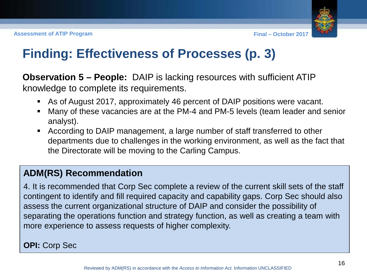

# **Finding: Effectiveness of Processes (p. 3)**

**Observation 5 – People:** DAIP is lacking resources with sufficient ATIP knowledge to complete its requirements.

- As of August 2017, approximately 46 percent of DAIP positions were vacant.
- Many of these vacancies are at the PM-4 and PM-5 levels (team leader and senior analyst).
- According to DAIP management, a large number of staff transferred to other departments due to challenges in the working environment, as well as the fact that the Directorate will be moving to the Carling Campus.

### **ADM(RS) Recommendation**

4. It is recommended that Corp Sec complete a review of the current skill sets of the staff contingent to identify and fill required capacity and capability gaps. Corp Sec should also assess the current organizational structure of DAIP and consider the possibility of separating the operations function and strategy function, as well as creating a team with more experience to assess requests of higher complexity.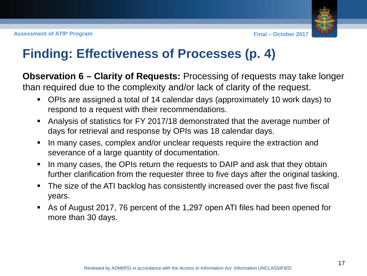

### **Finding: Effectiveness of Processes (p. 4)**

**Observation 6 – Clarity of Requests:** Processing of requests may take longer than required due to the complexity and/or lack of clarity of the request.

- OPIs are assigned a total of 14 calendar days (approximately 10 work days) to respond to a request with their recommendations.
- Analysis of statistics for FY 2017/18 demonstrated that the average number of days for retrieval and response by OPIs was 18 calendar days.
- I In many cases, complex and/or unclear requests require the extraction and severance of a large quantity of documentation.
- I In many cases, the OPIs return the requests to DAIP and ask that they obtain further clarification from the requester three to five days after the original tasking.
- The size of the ATI backlog has consistently increased over the past five fiscal years.
- As of August 2017, 76 percent of the 1,297 open ATI files had been opened for more than 30 days.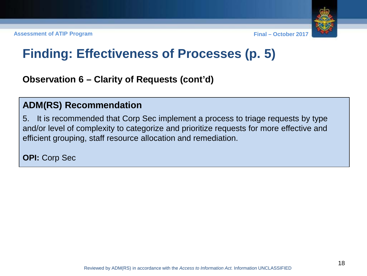# **Finding: Effectiveness of Processes (p. 5)**

**Observation 6 – Clarity of Requests (cont'd)**

#### **ADM(RS) Recommendation**

5. It is recommended that Corp Sec implement a process to triage requests by type and/or level of complexity to categorize and prioritize requests for more effective and efficient grouping, staff resource allocation and remediation.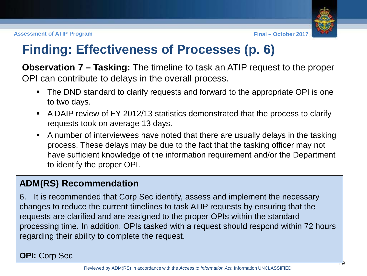### **Finding: Effectiveness of Processes (p. 6)**

**Observation 7 – Tasking:** The timeline to task an ATIP request to the proper OPI can contribute to delays in the overall process.

- The DND standard to clarify requests and forward to the appropriate OPI is one to two days.
- A DAIP review of FY 2012/13 statistics demonstrated that the process to clarify requests took on average 13 days.
- A number of interviewees have noted that there are usually delays in the tasking process. These delays may be due to the fact that the tasking officer may not have sufficient knowledge of the information requirement and/or the Department to identify the proper OPI.

### **ADM(RS) Recommendation**

6. It is recommended that Corp Sec identify, assess and implement the necessary changes to reduce the current timelines to task ATIP requests by ensuring that the requests are clarified and are assigned to the proper OPIs within the standard processing time. In addition, OPIs tasked with a request should respond within 72 hours regarding their ability to complete the request.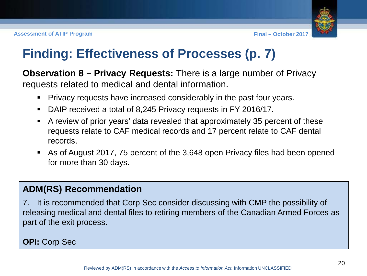# **Finding: Effectiveness of Processes (p. 7)**

**Observation 8 – Privacy Requests:** There is a large number of Privacy requests related to medical and dental information.

- Privacy requests have increased considerably in the past four years.
- DAIP received a total of 8,245 Privacy requests in FY 2016/17.
- A review of prior years' data revealed that approximately 35 percent of these requests relate to CAF medical records and 17 percent relate to CAF dental records.
- As of August 2017, 75 percent of the 3,648 open Privacy files had been opened for more than 30 days.

### **ADM(RS) Recommendation**

7. It is recommended that Corp Sec consider discussing with CMP the possibility of releasing medical and dental files to retiring members of the Canadian Armed Forces as part of the exit process.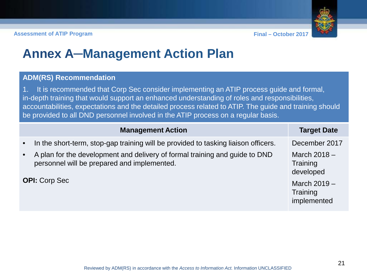

### **Annex A─Management Action Plan**

#### **ADM(RS) Recommendation**

1. It is recommended that Corp Sec consider implementing an ATIP process guide and formal, in-depth training that would support an enhanced understanding of roles and responsibilities, accountabilities, expectations and the detailed process related to ATIP. The guide and training should be provided to all DND personnel involved in the ATIP process on a regular basis.

|                        | <b>Management Action</b>                                                                                                                                                                                         | <b>Target Date</b>                                       |
|------------------------|------------------------------------------------------------------------------------------------------------------------------------------------------------------------------------------------------------------|----------------------------------------------------------|
| $\bullet$<br>$\bullet$ | In the short-term, stop-gap training will be provided to tasking liaison officers.<br>A plan for the development and delivery of formal training and guide to DND<br>personnel will be prepared and implemented. | December 2017<br>March $2018 -$<br>Training<br>developed |
| <b>OPI:</b> Corp Sec   |                                                                                                                                                                                                                  | March $2019 -$<br>Training<br>implemented                |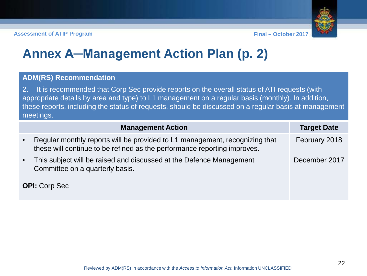# **Annex A─Management Action Plan (p. 2)**

#### **ADM(RS) Recommendation**

2. It is recommended that Corp Sec provide reports on the overall status of ATI requests (with appropriate details by area and type) to L1 management on a regular basis (monthly). In addition, these reports, including the status of requests, should be discussed on a regular basis at management meetings.

|                      | <b>Management Action</b>                                                                                                                                | <b>Target Date</b> |
|----------------------|---------------------------------------------------------------------------------------------------------------------------------------------------------|--------------------|
| $\bullet$            | Regular monthly reports will be provided to L1 management, recognizing that<br>these will continue to be refined as the performance reporting improves. | February 2018      |
| $\bullet$            | This subject will be raised and discussed at the Defence Management<br>Committee on a quarterly basis.                                                  | December 2017      |
| <b>OPI:</b> Corp Sec |                                                                                                                                                         |                    |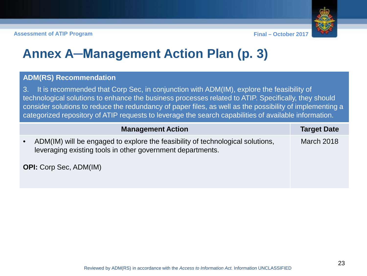# **Annex A─Management Action Plan (p. 3)**

#### **ADM(RS) Recommendation**

3. It is recommended that Corp Sec, in conjunction with ADM(IM), explore the feasibility of technological solutions to enhance the business processes related to ATIP. Specifically, they should consider solutions to reduce the redundancy of paper files, as well as the possibility of implementing a categorized repository of ATIP requests to leverage the search capabilities of available information.

|                               | <b>Management Action</b>                                                                                                                     | <b>Target Date</b> |
|-------------------------------|----------------------------------------------------------------------------------------------------------------------------------------------|--------------------|
| $\bullet$                     | ADM(IM) will be engaged to explore the feasibility of technological solutions,<br>leveraging existing tools in other government departments. | <b>March 2018</b>  |
| <b>OPI:</b> Corp Sec, ADM(IM) |                                                                                                                                              |                    |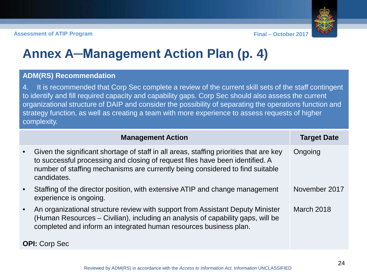# **Annex A─Management Action Plan (p. 4)**

#### **ADM(RS) Recommendation**

4. It is recommended that Corp Sec complete a review of the current skill sets of the staff contingent to identify and fill required capacity and capability gaps. Corp Sec should also assess the current organizational structure of DAIP and consider the possibility of separating the operations function and strategy function, as well as creating a team with more experience to assess requests of higher complexity.

|           | <b>Management Action</b>                                                                                                                                                                                                                                                | <b>Target Date</b> |
|-----------|-------------------------------------------------------------------------------------------------------------------------------------------------------------------------------------------------------------------------------------------------------------------------|--------------------|
| $\bullet$ | Given the significant shortage of staff in all areas, staffing priorities that are key<br>to successful processing and closing of request files have been identified. A<br>number of staffing mechanisms are currently being considered to find suitable<br>candidates. | Ongoing            |
| $\bullet$ | Staffing of the director position, with extensive ATIP and change management<br>experience is ongoing.                                                                                                                                                                  | November 2017      |
| $\bullet$ | An organizational structure review with support from Assistant Deputy Minister<br>(Human Resources - Civilian), including an analysis of capability gaps, will be<br>completed and inform an integrated human resources business plan.                                  | March 2018         |
|           | <b>OPI:</b> Corp Sec                                                                                                                                                                                                                                                    |                    |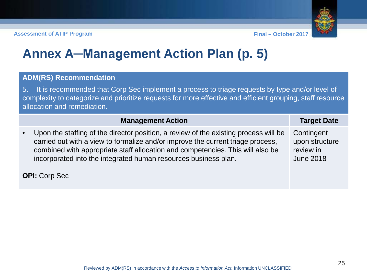# **Annex A─Management Action Plan (p. 5)**

#### **ADM(RS) Recommendation**

5. It is recommended that Corp Sec implement a process to triage requests by type and/or level of complexity to categorize and prioritize requests for more effective and efficient grouping, staff resource allocation and remediation.

|                      | <b>Management Action</b>                                                                                                                                                                                                                                                                                                     | <b>Target Date</b>                                            |
|----------------------|------------------------------------------------------------------------------------------------------------------------------------------------------------------------------------------------------------------------------------------------------------------------------------------------------------------------------|---------------------------------------------------------------|
| $\bullet$            | Upon the staffing of the director position, a review of the existing process will be<br>carried out with a view to formalize and/or improve the current triage process,<br>combined with appropriate staff allocation and competencies. This will also be<br>incorporated into the integrated human resources business plan. | Contingent<br>upon structure<br>review in<br><b>June 2018</b> |
| <b>OPI:</b> Corp Sec |                                                                                                                                                                                                                                                                                                                              |                                                               |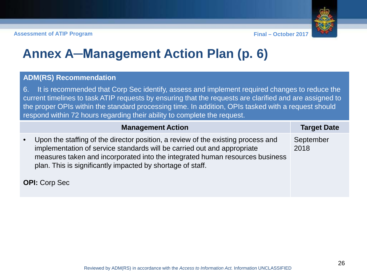# **Annex A─Management Action Plan (p. 6)**

#### **ADM(RS) Recommendation**

6. It is recommended that Corp Sec identify, assess and implement required changes to reduce the current timelines to task ATIP requests by ensuring that the requests are clarified and are assigned to the proper OPIs within the standard processing time. In addition, OPIs tasked with a request should respond within 72 hours regarding their ability to complete the request.

|                      | <b>Management Action</b>                                                                                                                                                                                                                                                                                  | <b>Target Date</b> |
|----------------------|-----------------------------------------------------------------------------------------------------------------------------------------------------------------------------------------------------------------------------------------------------------------------------------------------------------|--------------------|
| $\bullet$            | Upon the staffing of the director position, a review of the existing process and<br>implementation of service standards will be carried out and appropriate<br>measures taken and incorporated into the integrated human resources business<br>plan. This is significantly impacted by shortage of staff. | September<br>2018  |
| <b>OPI:</b> Corp Sec |                                                                                                                                                                                                                                                                                                           |                    |